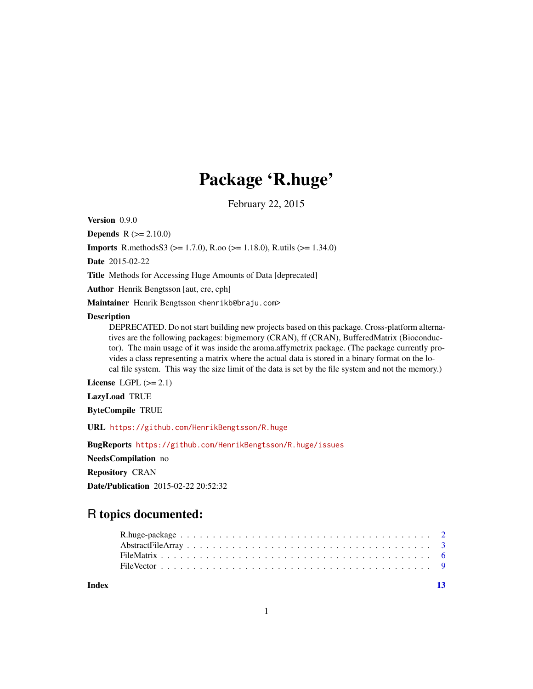## Package 'R.huge'

February 22, 2015

<span id="page-0-0"></span>Version 0.9.0

**Depends**  $R (= 2.10.0)$ 

**Imports** R.methods S3 ( $> = 1.7.0$ ), R.oo ( $> = 1.18.0$ ), R.utils ( $> = 1.34.0$ )

Date 2015-02-22

Title Methods for Accessing Huge Amounts of Data [deprecated]

Author Henrik Bengtsson [aut, cre, cph]

Maintainer Henrik Bengtsson <henrikb@braju.com>

#### **Description**

DEPRECATED. Do not start building new projects based on this package. Cross-platform alternatives are the following packages: bigmemory (CRAN), ff (CRAN), BufferedMatrix (Bioconductor). The main usage of it was inside the aroma.affymetrix package. (The package currently provides a class representing a matrix where the actual data is stored in a binary format on the local file system. This way the size limit of the data is set by the file system and not the memory.)

License LGPL  $(>= 2.1)$ 

LazyLoad TRUE

ByteCompile TRUE

URL <https://github.com/HenrikBengtsson/R.huge>

BugReports <https://github.com/HenrikBengtsson/R.huge/issues>

NeedsCompilation no

Repository CRAN

Date/Publication 2015-02-22 20:52:32

### R topics documented:

**Index** [13](#page-12-0)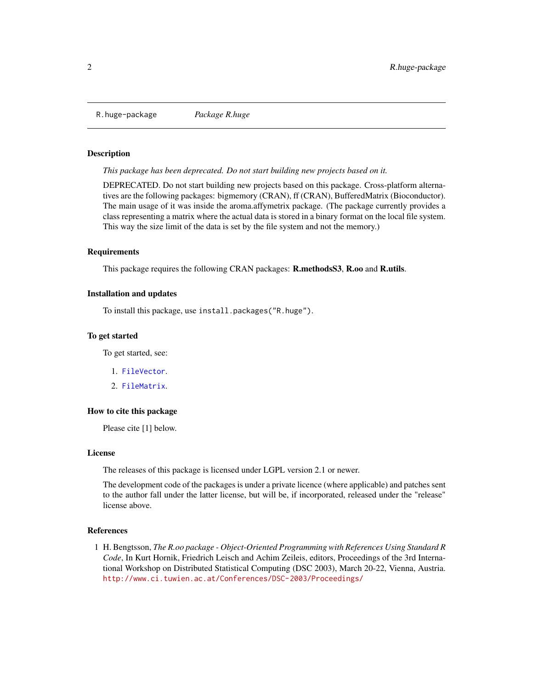<span id="page-1-0"></span>R.huge-package *Package R.huge*

#### Description

*This package has been deprecated. Do not start building new projects based on it.*

DEPRECATED. Do not start building new projects based on this package. Cross-platform alternatives are the following packages: bigmemory (CRAN), ff (CRAN), BufferedMatrix (Bioconductor). The main usage of it was inside the aroma.affymetrix package. (The package currently provides a class representing a matrix where the actual data is stored in a binary format on the local file system. This way the size limit of the data is set by the file system and not the memory.)

#### **Requirements**

This package requires the following CRAN packages: **R.methodsS3, R.00** and **R.utils.** 

#### Installation and updates

To install this package, use install.packages("R.huge").

#### To get started

To get started, see:

- 1. [FileVector](#page-8-1).
- 2. [FileMatrix](#page-5-1).

#### How to cite this package

Please cite [1] below.

#### License

The releases of this package is licensed under LGPL version 2.1 or newer.

The development code of the packages is under a private licence (where applicable) and patches sent to the author fall under the latter license, but will be, if incorporated, released under the "release" license above.

#### References

1 H. Bengtsson, *The R.oo package - Object-Oriented Programming with References Using Standard R Code*, In Kurt Hornik, Friedrich Leisch and Achim Zeileis, editors, Proceedings of the 3rd International Workshop on Distributed Statistical Computing (DSC 2003), March 20-22, Vienna, Austria. <http://www.ci.tuwien.ac.at/Conferences/DSC-2003/Proceedings/>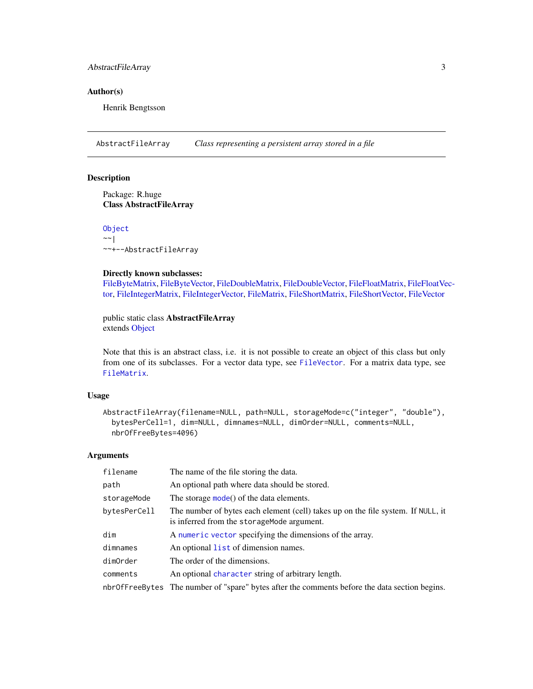#### <span id="page-2-0"></span>AbstractFileArray 3

#### Author(s)

Henrik Bengtsson

<span id="page-2-1"></span>AbstractFileArray *Class representing a persistent array stored in a file*

#### Description

Package: R.huge Class AbstractFileArray

[Object](#page-0-0)  $~\sim~$ | ~~+--AbstractFileArray

#### Directly known subclasses:

[FileByteMatrix,](#page-5-2) [FileByteVector,](#page-8-2) [FileDoubleMatrix,](#page-5-2) [FileDoubleVector,](#page-8-2) [FileFloatMatrix,](#page-5-2) [FileFloatVe](#page-8-2)c[tor,](#page-8-2) [FileIntegerMatrix,](#page-5-2) [FileIntegerVector,](#page-8-2) [FileMatrix,](#page-5-1) [FileShortMatrix,](#page-5-2) [FileShortVector,](#page-8-2) [FileVector](#page-8-1)

public static class AbstractFileArray extends [Object](#page-0-0)

Note that this is an abstract class, i.e. it is not possible to create an object of this class but only from one of its subclasses. For a vector data type, see [FileVector](#page-8-1). For a matrix data type, see [FileMatrix](#page-5-1).

#### Usage

```
AbstractFileArray(filename=NULL, path=NULL, storageMode=c("integer", "double"),
  bytesPerCell=1, dim=NULL, dimnames=NULL, dimOrder=NULL, comments=NULL,
  nbrOfFreeBytes=4096)
```
#### Arguments

| filename     | The name of the file storing the data.                                                                                          |
|--------------|---------------------------------------------------------------------------------------------------------------------------------|
| path         | An optional path where data should be stored.                                                                                   |
| storageMode  | The storage mode() of the data elements.                                                                                        |
| bytesPerCell | The number of bytes each element (cell) takes up on the file system. If NULL, it<br>is inferred from the storage Mode argument. |
| dim          | A numeric vector specifying the dimensions of the array.                                                                        |
| dimnames     | An optional list of dimension names.                                                                                            |
| dimOrder     | The order of the dimensions.                                                                                                    |
| comments     | An optional character string of arbitrary length.                                                                               |
|              | nbr0fFreeBytes The number of "spare" bytes after the comments before the data section begins.                                   |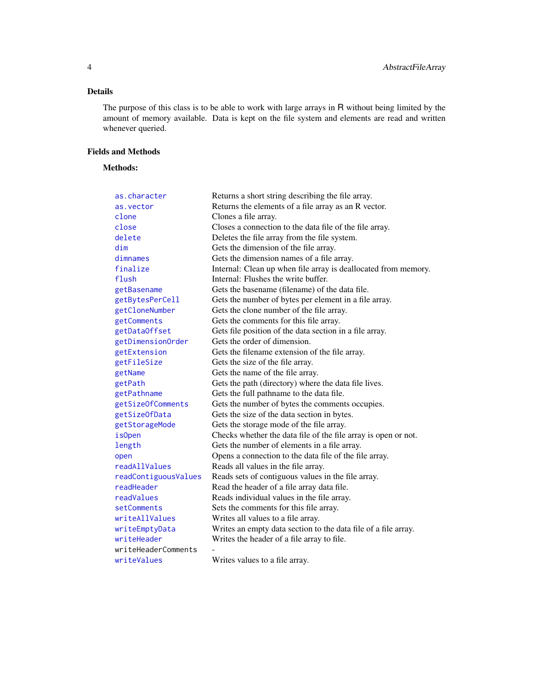#### <span id="page-3-0"></span>Details

The purpose of this class is to be able to work with large arrays in R without being limited by the amount of memory available. Data is kept on the file system and elements are read and written whenever queried.

#### Fields and Methods

#### Methods:

| as.character         | Returns a short string describing the file array.              |
|----------------------|----------------------------------------------------------------|
| as.vector            | Returns the elements of a file array as an R vector.           |
| clone                | Clones a file array.                                           |
| close                | Closes a connection to the data file of the file array.        |
| delete               | Deletes the file array from the file system.                   |
| dim                  | Gets the dimension of the file array.                          |
| dimnames             | Gets the dimension names of a file array.                      |
| finalize             | Internal: Clean up when file array is deallocated from memory. |
| flush                | Internal: Flushes the write buffer.                            |
| getBasename          | Gets the basename (filename) of the data file.                 |
| getBytesPerCell      | Gets the number of bytes per element in a file array.          |
| getCloneNumber       | Gets the clone number of the file array.                       |
| getComments          | Gets the comments for this file array.                         |
| getDataOffset        | Gets file position of the data section in a file array.        |
| getDimensionOrder    | Gets the order of dimension.                                   |
| getExtension         | Gets the filename extension of the file array.                 |
| getFileSize          | Gets the size of the file array.                               |
| getName              | Gets the name of the file array.                               |
| getPath              | Gets the path (directory) where the data file lives.           |
| getPathname          | Gets the full pathname to the data file.                       |
| getSizeOfComments    | Gets the number of bytes the comments occupies.                |
| getSizeOfData        | Gets the size of the data section in bytes.                    |
| getStorageMode       | Gets the storage mode of the file array.                       |
| <i>isOpen</i>        | Checks whether the data file of the file array is open or not. |
| length               | Gets the number of elements in a file array.                   |
| open                 | Opens a connection to the data file of the file array.         |
| readAllValues        | Reads all values in the file array.                            |
| readContiguousValues | Reads sets of contiguous values in the file array.             |
| readHeader           | Read the header of a file array data file.                     |
| readValues           | Reads individual values in the file array.                     |
| setComments          | Sets the comments for this file array.                         |
| writeAllValues       | Writes all values to a file array.                             |
| writeEmptyData       | Writes an empty data section to the data file of a file array. |
| writeHeader          | Writes the header of a file array to file.                     |
| writeHeaderComments  |                                                                |
| writeValues          | Writes values to a file array.                                 |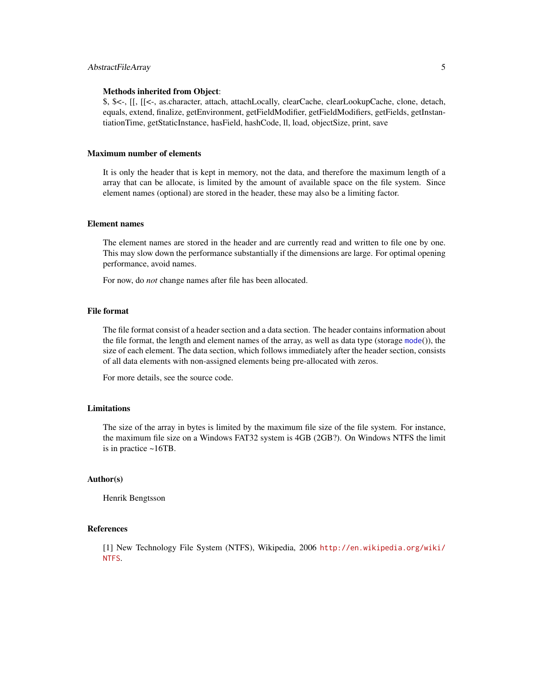#### <span id="page-4-0"></span>AbstractFileArray 5

#### Methods inherited from Object:

\$, \$<-, [[, [[<-, as.character, attach, attachLocally, clearCache, clearLookupCache, clone, detach, equals, extend, finalize, getEnvironment, getFieldModifier, getFieldModifiers, getFields, getInstantiationTime, getStaticInstance, hasField, hashCode, ll, load, objectSize, print, save

#### Maximum number of elements

It is only the header that is kept in memory, not the data, and therefore the maximum length of a array that can be allocate, is limited by the amount of available space on the file system. Since element names (optional) are stored in the header, these may also be a limiting factor.

#### Element names

The element names are stored in the header and are currently read and written to file one by one. This may slow down the performance substantially if the dimensions are large. For optimal opening performance, avoid names.

For now, do *not* change names after file has been allocated.

#### File format

The file format consist of a header section and a data section. The header contains information about the file format, the length and element names of the array, as well as data type (storage  $mode()$  $mode()$ ), the size of each element. The data section, which follows immediately after the header section, consists of all data elements with non-assigned elements being pre-allocated with zeros.

For more details, see the source code.

#### Limitations

The size of the array in bytes is limited by the maximum file size of the file system. For instance, the maximum file size on a Windows FAT32 system is 4GB (2GB?). On Windows NTFS the limit is in practice ~16TB.

#### Author(s)

Henrik Bengtsson

#### References

[1] New Technology File System (NTFS), Wikipedia, 2006 [http://en.wikipedia.org/wiki/](http://en.wikipedia.org/wiki/NTFS) [NTFS](http://en.wikipedia.org/wiki/NTFS).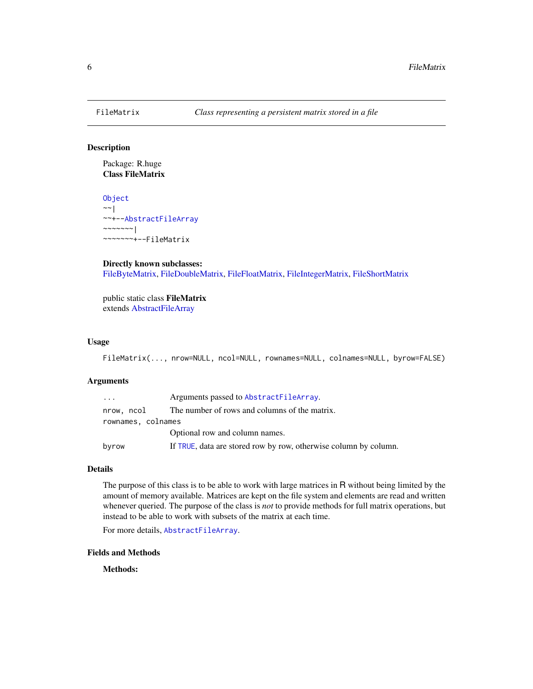<span id="page-5-1"></span><span id="page-5-0"></span>

#### <span id="page-5-2"></span>Description

Package: R.huge Class FileMatrix

[Object](#page-0-0)  $~\sim~$ ~~+-[-AbstractFileArray](#page-2-1) ~~~~~~~ $|$ ~~~~~~~+--FileMatrix

#### Directly known subclasses:

[FileByteMatrix,](#page-5-2) [FileDoubleMatrix,](#page-5-2) [FileFloatMatrix,](#page-5-2) [FileIntegerMatrix,](#page-5-2) [FileShortMatrix](#page-5-2)

public static class FileMatrix extends [AbstractFileArray](#page-2-1)

#### Usage

FileMatrix(..., nrow=NULL, ncol=NULL, rownames=NULL, colnames=NULL, byrow=FALSE)

#### Arguments

| .                  | Arguments passed to AbstractFileArray.                           |
|--------------------|------------------------------------------------------------------|
| nrow, ncol         | The number of rows and columns of the matrix.                    |
| rownames, colnames |                                                                  |
|                    | Optional row and column names.                                   |
| byrow              | If TRUE, data are stored row by row, otherwise column by column. |

#### Details

The purpose of this class is to be able to work with large matrices in R without being limited by the amount of memory available. Matrices are kept on the file system and elements are read and written whenever queried. The purpose of the class is *not* to provide methods for full matrix operations, but instead to be able to work with subsets of the matrix at each time.

For more details, [AbstractFileArray](#page-2-1).

#### Fields and Methods

Methods: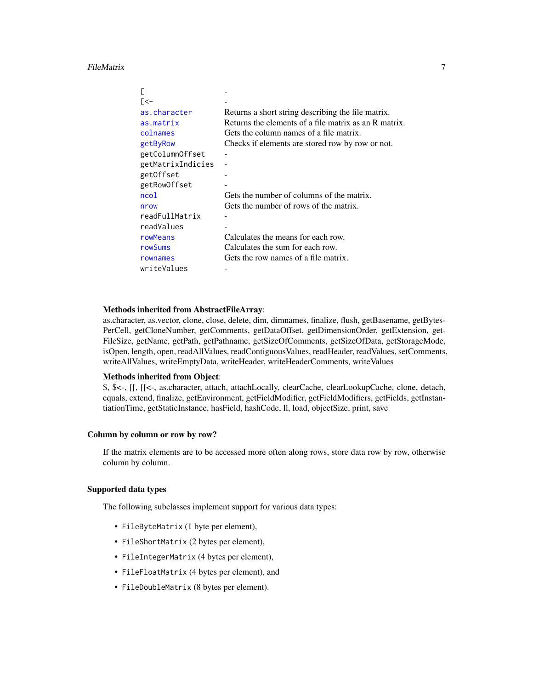<span id="page-6-0"></span>FileMatrix 7

| [<−               |                                                       |
|-------------------|-------------------------------------------------------|
| as.character      | Returns a short string describing the file matrix.    |
| as.matrix         | Returns the elements of a file matrix as an R matrix. |
| colnames          | Gets the column names of a file matrix.               |
| getByRow          | Checks if elements are stored row by row or not.      |
| getColumnOffset   |                                                       |
| getMatrixIndicies |                                                       |
| getOffset         |                                                       |
| getRowOffset      |                                                       |
| ncol              | Gets the number of columns of the matrix.             |
| nrow              | Gets the number of rows of the matrix.                |
| readFullMatrix    |                                                       |
| readValues        |                                                       |
| rowMeans          | Calculates the means for each row.                    |
| rowSums           | Calculates the sum for each row.                      |
| rownames          | Gets the row names of a file matrix.                  |
| writeValues       |                                                       |

#### Methods inherited from AbstractFileArray:

as.character, as.vector, clone, close, delete, dim, dimnames, finalize, flush, getBasename, getBytes-PerCell, getCloneNumber, getComments, getDataOffset, getDimensionOrder, getExtension, get-FileSize, getName, getPath, getPathname, getSizeOfComments, getSizeOfData, getStorageMode, isOpen, length, open, readAllValues, readContiguousValues, readHeader, readValues, setComments, writeAllValues, writeEmptyData, writeHeader, writeHeaderComments, writeValues

#### Methods inherited from Object:

\$, \$<-, [[, [[<-, as.character, attach, attachLocally, clearCache, clearLookupCache, clone, detach, equals, extend, finalize, getEnvironment, getFieldModifier, getFieldModifiers, getFields, getInstantiationTime, getStaticInstance, hasField, hashCode, ll, load, objectSize, print, save

#### Column by column or row by row?

If the matrix elements are to be accessed more often along rows, store data row by row, otherwise column by column.

#### Supported data types

The following subclasses implement support for various data types:

- FileByteMatrix (1 byte per element),
- FileShortMatrix (2 bytes per element),
- FileIntegerMatrix (4 bytes per element),
- FileFloatMatrix (4 bytes per element), and
- FileDoubleMatrix (8 bytes per element).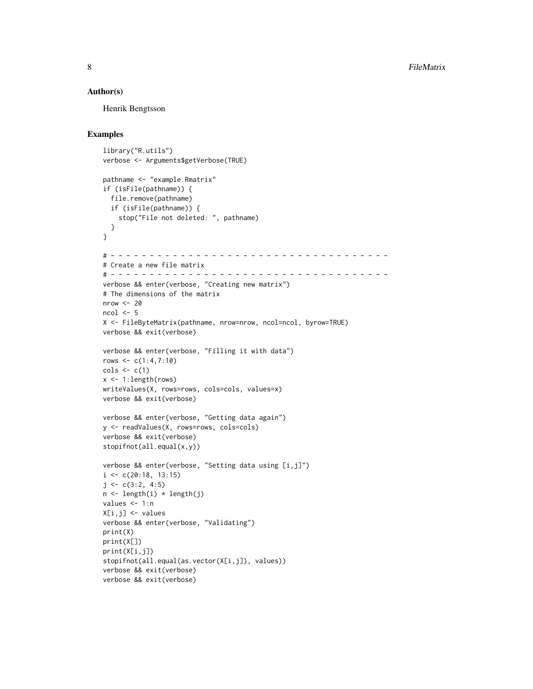#### Author(s)

Henrik Bengtsson

#### Examples

```
library("R.utils")
verbose <- Arguments$getVerbose(TRUE)
pathname <- "example.Rmatrix"
if (isFile(pathname)) {
  file.remove(pathname)
  if (isFile(pathname)) {
    stop("File not deleted: ", pathname)
  }
}
# - - - - - - - - - - - - - - - - - - - - - - - - - - - - - - - - - - - -
# Create a new file matrix
# - - - - - - - - - - - - - - - - - - - - - - - - - - - - - - - - - - - -
verbose && enter(verbose, "Creating new matrix")
# The dimensions of the matrix
nrow < -20ncol < -5X <- FileByteMatrix(pathname, nrow=nrow, ncol=ncol, byrow=TRUE)
verbose && exit(verbose)
verbose && enter(verbose, "Filling it with data")
rows \leq -c(1:4,7:10)\text{cols} \leftarrow \text{c}(1)x <- 1:length(rows)
writeValues(X, rows=rows, cols=cols, values=x)
verbose && exit(verbose)
verbose && enter(verbose, "Getting data again")
y <- readValues(X, rows=rows, cols=cols)
verbose && exit(verbose)
stopifnot(all.equal(x,y))
verbose && enter(verbose, "Setting data using [i,j]")
i \leq c(20:18, 13:15)j \leftarrow c(3:2, 4:5)n \leq length(i) \star length(j)
values <- 1:n
X[i,j] <- values
verbose && enter(verbose, "Validating")
print(X)
print(X[])
print(X[i,j])
stopifnot(all.equal(as.vector(X[i,j]), values))
verbose && exit(verbose)
verbose && exit(verbose)
```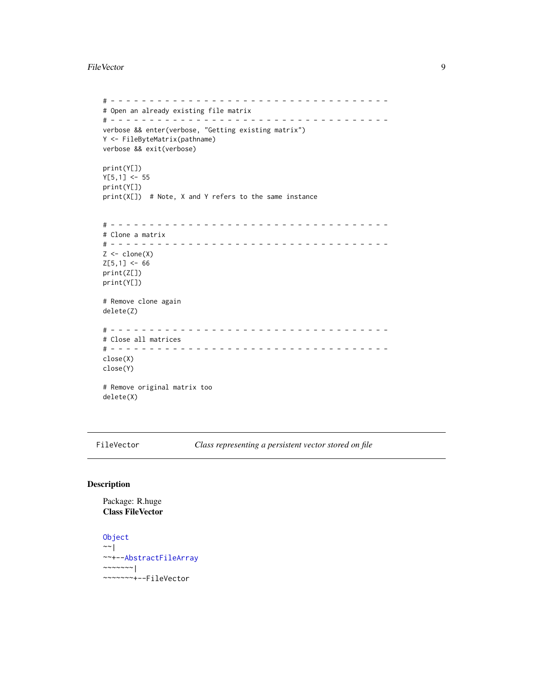#### <span id="page-8-0"></span>FileVector 9

```
# - - - - - - - - - - - - - - - - - - - - - - - - - - - - - - - - - - - -
# Open an already existing file matrix
# - - - - - - - - - - - - - - - - - - - - - - - - - - - - - - - - - - - -
verbose && enter(verbose, "Getting existing matrix")
Y <- FileByteMatrix(pathname)
verbose && exit(verbose)
print(Y[])
Y[5,1] < -55print(Y[])
print(X[]) # Note, X and Y refers to the same instance
# - - - - - - - - - - - - - - - - - - - - - - - - - - - - - - - - - - - -
# Clone a matrix
# - - - - - - - - - - - - - - - - - - - - - - - - - - - - - - - - - - - -
Z \leftarrow \text{clone}(X)Z[5,1] < -66print(Z[])
print(Y[])
# Remove clone again
delete(Z)
# - - - - - - - - - - - - - - - - - - - - - - - - - - - - - - - - - - - -
# Close all matrices
# - - - - - - - - - - - - - - - - - - - - - - - - - - - - - - - - - - - -
close(X)
close(Y)
# Remove original matrix too
delete(X)
```
<span id="page-8-1"></span>FileVector *Class representing a persistent vector stored on file*

#### <span id="page-8-2"></span>Description

Package: R.huge Class FileVector

```
Object
~\sim~~~+--AbstractFileArray
~~~~~~~|~~~~~~~+--FileVector
```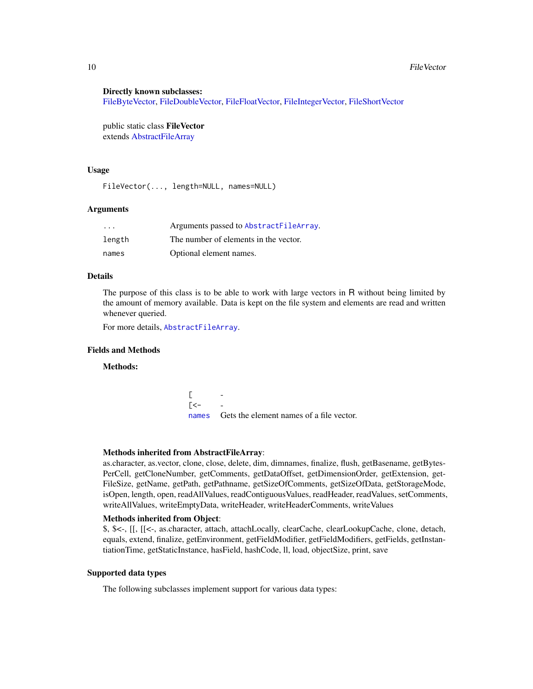#### Directly known subclasses:

[FileByteVector,](#page-8-2) [FileDoubleVector,](#page-8-2) [FileFloatVector,](#page-8-2) [FileIntegerVector,](#page-8-2) [FileShortVector](#page-8-2)

public static class FileVector extends [AbstractFileArray](#page-2-1)

#### Usage

FileVector(..., length=NULL, names=NULL)

#### Arguments

| $\cdot$ $\cdot$ $\cdot$ | Arguments passed to AbstractFileArray. |
|-------------------------|----------------------------------------|
| length                  | The number of elements in the vector.  |
| names                   | Optional element names.                |

#### Details

The purpose of this class is to be able to work with large vectors in R without being limited by the amount of memory available. Data is kept on the file system and elements are read and written whenever queried.

For more details, [AbstractFileArray](#page-2-1).

#### Fields and Methods

#### Methods:

 $\Gamma$  $\lceil$  <[names](#page-0-0) Gets the element names of a file vector.

#### Methods inherited from AbstractFileArray:

as.character, as.vector, clone, close, delete, dim, dimnames, finalize, flush, getBasename, getBytes-PerCell, getCloneNumber, getComments, getDataOffset, getDimensionOrder, getExtension, get-FileSize, getName, getPath, getPathname, getSizeOfComments, getSizeOfData, getStorageMode, isOpen, length, open, readAllValues, readContiguousValues, readHeader, readValues, setComments, writeAllValues, writeEmptyData, writeHeader, writeHeaderComments, writeValues

#### Methods inherited from Object:

\$, \$<-, [[, [[<-, as.character, attach, attachLocally, clearCache, clearLookupCache, clone, detach, equals, extend, finalize, getEnvironment, getFieldModifier, getFieldModifiers, getFields, getInstantiationTime, getStaticInstance, hasField, hashCode, ll, load, objectSize, print, save

#### Supported data types

The following subclasses implement support for various data types:

<span id="page-9-0"></span>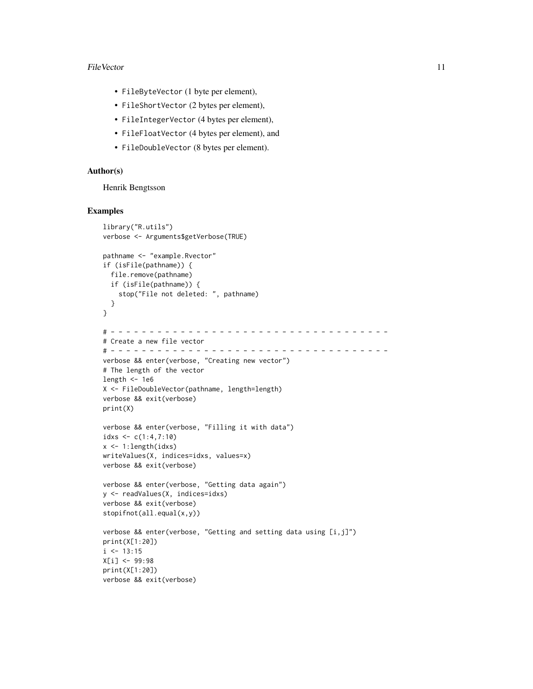#### FileVector 11

- FileByteVector (1 byte per element),
- FileShortVector (2 bytes per element),
- FileIntegerVector (4 bytes per element),
- FileFloatVector (4 bytes per element), and
- FileDoubleVector (8 bytes per element).

#### Author(s)

Henrik Bengtsson

#### Examples

```
library("R.utils")
verbose <- Arguments$getVerbose(TRUE)
pathname <- "example.Rvector"
if (isFile(pathname)) {
  file.remove(pathname)
 if (isFile(pathname)) {
    stop("File not deleted: ", pathname)
 }
}
# - - - - - - - - - - - - - - - - - - - - - - - - - - - - - - - - - - - -
# Create a new file vector
# - - - - - - - - - - - - - - - - - - - - - - - - - - - - - - - - - - - -
verbose && enter(verbose, "Creating new vector")
# The length of the vector
length <-1e6X <- FileDoubleVector(pathname, length=length)
verbose && exit(verbose)
print(X)
verbose && enter(verbose, "Filling it with data")
idxs \leq c(1:4,7:10)x <- 1:length(idxs)
writeValues(X, indices=idxs, values=x)
verbose && exit(verbose)
verbose && enter(verbose, "Getting data again")
y <- readValues(X, indices=idxs)
verbose && exit(verbose)
stopifnot(all.equal(x,y))
verbose && enter(verbose, "Getting and setting data using [i,j]")
print(X[1:20])
i <- 13:15
X[i] <- 99:98
print(X[1:20])
verbose && exit(verbose)
```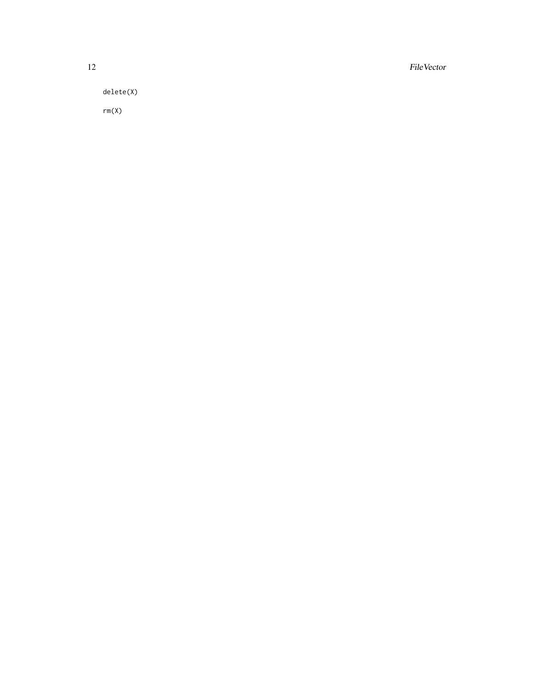12 *FileVector Physics Physics Physics* **<b>***Physics Physics Physics**Physics**Physics**Physics**Physics**Physics**Physics**Physics**Physics**Physics**Physics**Physics**Physics**Physics**Phy* 

delete(X)

rm(X)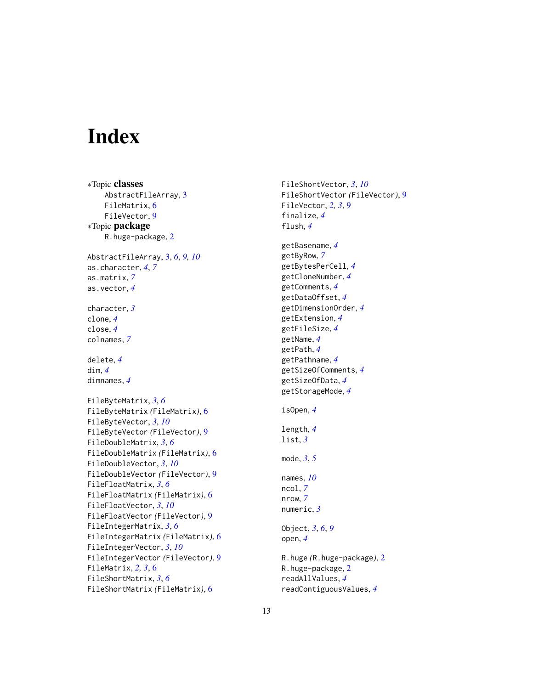# <span id="page-12-0"></span>Index

∗Topic classes AbstractFileArray, [3](#page-2-0) FileMatrix, [6](#page-5-0) FileVector, [9](#page-8-0) ∗Topic package R.huge-package, [2](#page-1-0) AbstractFileArray, [3,](#page-2-0) *[6](#page-5-0)*, *[9,](#page-8-0) [10](#page-9-0)* as.character, *[4](#page-3-0)*, *[7](#page-6-0)* as.matrix, *[7](#page-6-0)* as.vector, *[4](#page-3-0)* character, *[3](#page-2-0)* clone, *[4](#page-3-0)* close, *[4](#page-3-0)* colnames, *[7](#page-6-0)* delete, *[4](#page-3-0)* dim, *[4](#page-3-0)* dimnames, *[4](#page-3-0)* FileByteMatrix, *[3](#page-2-0)*, *[6](#page-5-0)* FileByteMatrix *(*FileMatrix*)*, [6](#page-5-0) FileByteVector, *[3](#page-2-0)*, *[10](#page-9-0)* FileByteVector *(*FileVector*)*, [9](#page-8-0) FileDoubleMatrix, *[3](#page-2-0)*, *[6](#page-5-0)* FileDoubleMatrix *(*FileMatrix*)*, [6](#page-5-0) FileDoubleVector, *[3](#page-2-0)*, *[10](#page-9-0)* FileDoubleVector *(*FileVector*)*, [9](#page-8-0) FileFloatMatrix, *[3](#page-2-0)*, *[6](#page-5-0)* FileFloatMatrix *(*FileMatrix*)*, [6](#page-5-0) FileFloatVector, *[3](#page-2-0)*, *[10](#page-9-0)* FileFloatVector *(*FileVector*)*, [9](#page-8-0) FileIntegerMatrix, *[3](#page-2-0)*, *[6](#page-5-0)* FileIntegerMatrix *(*FileMatrix*)*, [6](#page-5-0) FileIntegerVector, *[3](#page-2-0)*, *[10](#page-9-0)* FileIntegerVector *(*FileVector*)*, [9](#page-8-0) FileMatrix, *[2,](#page-1-0) [3](#page-2-0)*, [6](#page-5-0) FileShortMatrix, *[3](#page-2-0)*, *[6](#page-5-0)* FileShortMatrix *(*FileMatrix*)*, [6](#page-5-0)

FileShortVector, *[3](#page-2-0)*, *[10](#page-9-0)* FileShortVector *(*FileVector*)*, [9](#page-8-0) FileVector, *[2,](#page-1-0) [3](#page-2-0)*, [9](#page-8-0) finalize, *[4](#page-3-0)* flush, *[4](#page-3-0)* getBasename, *[4](#page-3-0)* getByRow, *[7](#page-6-0)* getBytesPerCell, *[4](#page-3-0)* getCloneNumber, *[4](#page-3-0)* getComments, *[4](#page-3-0)* getDataOffset, *[4](#page-3-0)* getDimensionOrder, *[4](#page-3-0)* getExtension, *[4](#page-3-0)* getFileSize, *[4](#page-3-0)* getName, *[4](#page-3-0)* getPath, *[4](#page-3-0)* getPathname, *[4](#page-3-0)* getSizeOfComments, *[4](#page-3-0)* getSizeOfData, *[4](#page-3-0)* getStorageMode, *[4](#page-3-0)* isOpen, *[4](#page-3-0)* length, *[4](#page-3-0)* list, *[3](#page-2-0)* mode, *[3](#page-2-0)*, *[5](#page-4-0)* names, *[10](#page-9-0)* ncol, *[7](#page-6-0)* nrow, *[7](#page-6-0)* numeric, *[3](#page-2-0)* Object, *[3](#page-2-0)*, *[6](#page-5-0)*, *[9](#page-8-0)* open, *[4](#page-3-0)* R.huge *(*R.huge-package*)*, [2](#page-1-0) R.huge-package, [2](#page-1-0) readAllValues, *[4](#page-3-0)* readContiguousValues, *[4](#page-3-0)*